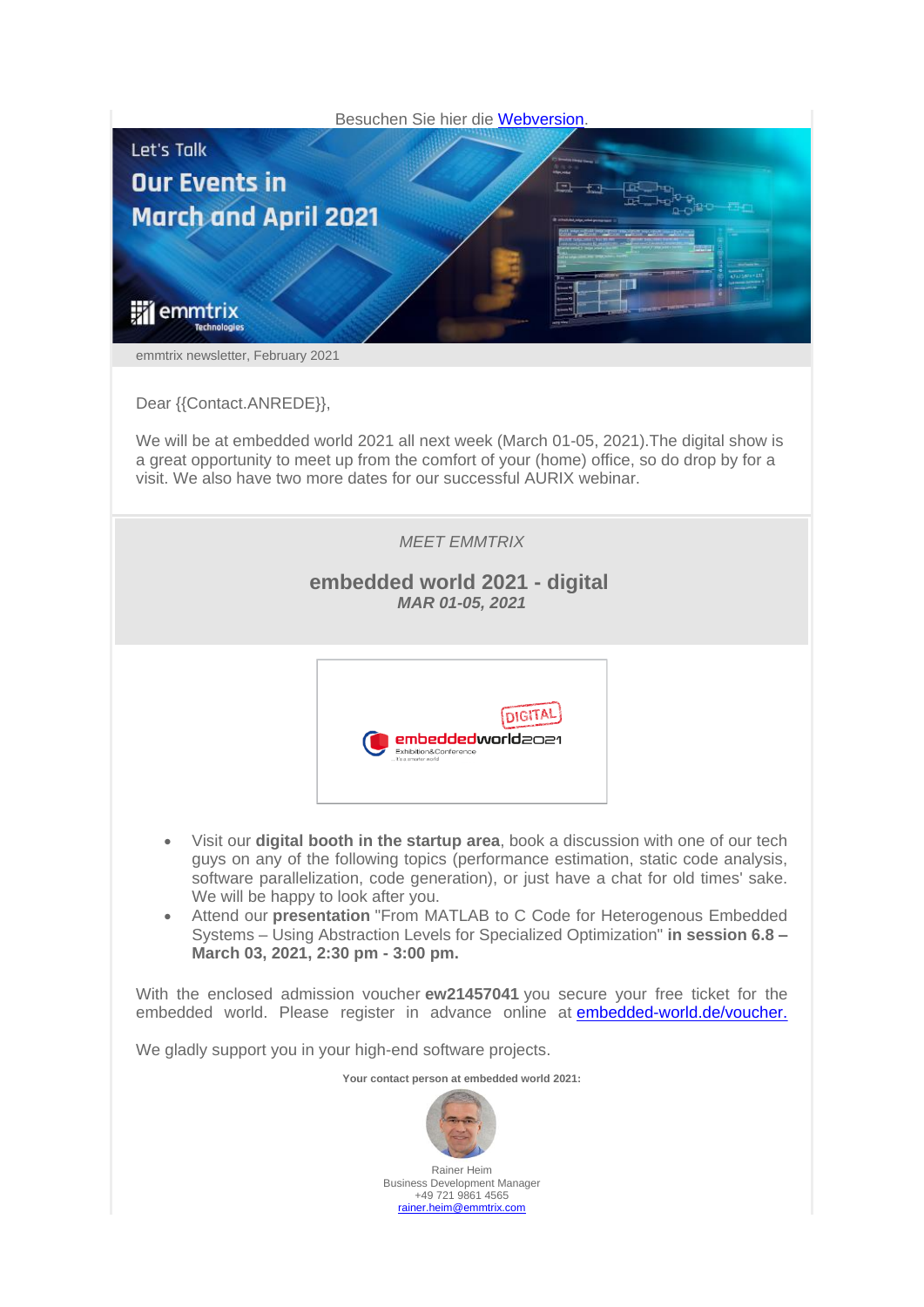

We will be at embedded world 2021 all next week (March 01-05, 2021).The digital show is a great opportunity to meet up from the comfort of your (home) office, so do drop by for a visit. We also have two more dates for our successful AURIX webinar.

## *MEET EMMTRIX*

## **embedded world 2021 - digital** *MAR 01-05, 2021*



- Visit our **digital booth in the startup area**, book a discussion with one of our tech guys on any of the following topics (performance estimation, static code analysis, software parallelization, code generation), or just have a chat for old times' sake. We will be happy to look after you.
- Attend our **presentation** "From MATLAB to C Code for Heterogenous Embedded Systems – Using Abstraction Levels for Specialized Optimization" **in session 6.8 – March 03, 2021, 2:30 pm - 3:00 pm.**

With the enclosed admission voucher **ew21457041** you secure your free ticket for the embedded world. Please register in advance online at [embedded-world.de/voucher](http://amxe.net/3sadig2r-m5iputfr-ufhmk05f-wsn)[.](http://amxe.net/3sadig2r-m5iputfr-xwq06vnm-edc)

We gladly support you in your high-end software projects.

**Your contact person at embedded world 2021:**



Business Development Manager +49 721 9861 4565 [rainer.heim@emmtrix.com](mailto:rainer.heim@emmtrix.com)